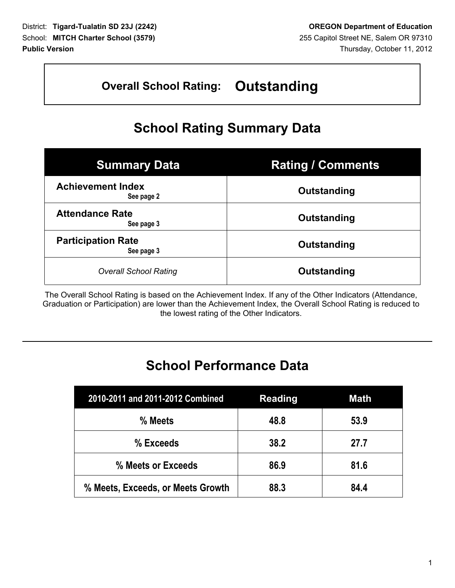## **Overall School Rating: Outstanding**

# **School Rating Summary Data**

| <b>Summary Data</b>                     | <b>Rating / Comments</b> |
|-----------------------------------------|--------------------------|
| <b>Achievement Index</b><br>See page 2  | Outstanding              |
| <b>Attendance Rate</b><br>See page 3    | Outstanding              |
| <b>Participation Rate</b><br>See page 3 | Outstanding              |
| <b>Overall School Rating</b>            | Outstanding              |

The Overall School Rating is based on the Achievement Index. If any of the Other Indicators (Attendance, Graduation or Participation) are lower than the Achievement Index, the Overall School Rating is reduced to the lowest rating of the Other Indicators.

# **School Performance Data**

| 2010-2011 and 2011-2012 Combined  | <b>Reading</b> | <b>Math</b> |
|-----------------------------------|----------------|-------------|
| % Meets                           | 48.8           | 53.9        |
| % Exceeds                         | 38.2           | 27.7        |
| % Meets or Exceeds                | 86.9           | 81.6        |
| % Meets, Exceeds, or Meets Growth | 88.3           | 84.4        |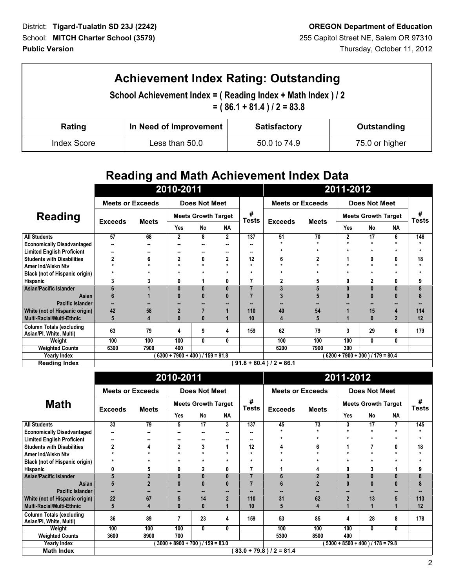| <b>Achievement Index Rating: Outstanding</b><br>School Achievement Index = (Reading Index + Math Index ) / 2<br>$= (86.1 + 81.4)/2 = 83.8$ |                        |                     |                |  |  |  |
|--------------------------------------------------------------------------------------------------------------------------------------------|------------------------|---------------------|----------------|--|--|--|
| Rating                                                                                                                                     | In Need of Improvement | <b>Satisfactory</b> | Outstanding    |  |  |  |
| <b>Index Score</b>                                                                                                                         | Less than 50.0         | 50.0 to 74.9        | 75.0 or higher |  |  |  |

## **Reading and Math Achievement Index Data**

|                                                            | 2010-2011               |              |                                    |               | 2011-2012   |     |                            |                            |                                    |               |                      |         |
|------------------------------------------------------------|-------------------------|--------------|------------------------------------|---------------|-------------|-----|----------------------------|----------------------------|------------------------------------|---------------|----------------------|---------|
|                                                            | <b>Meets or Exceeds</b> |              |                                    | Does Not Meet |             |     | <b>Meets or Exceeds</b>    |                            |                                    | Does Not Meet |                      |         |
| <b>Reading</b>                                             |                         |              | <b>Meets Growth Target</b>         |               | #<br>Tests  |     |                            | <b>Meets Growth Target</b> |                                    | #<br>Tests    |                      |         |
|                                                            | <b>Exceeds</b>          | <b>Meets</b> | Yes                                | <b>No</b>     | <b>NA</b>   |     | <b>Exceeds</b>             | <b>Meets</b>               | Yes                                | No            | <b>NA</b>            |         |
| <b>All Students</b>                                        | 57                      | 68           | $\mathbf{2}$                       | 8             | $\mathbf 2$ | 137 | 51                         | 70                         | $\mathbf{2}$                       | 17            | 6                    | 146     |
| <b>Economically Disadvantaged</b>                          | 99                      | --           | н.                                 |               |             |     |                            |                            | $\star$                            |               | $\ddot{\phantom{0}}$ | ÷       |
| <b>Limited English Proficient</b>                          |                         |              | н.                                 | --            |             |     |                            |                            | $\star$                            | $\star$       | $\star$              | $\star$ |
| <b>Students with Disabilities</b>                          | 2                       | 6            | $\mathbf{2}$                       | 0             | 2           | 12  | 6                          |                            |                                    | 9             | 0                    | 18      |
| Amer Ind/Alskn Ntv                                         |                         |              |                                    |               | ÷           |     |                            |                            | $\star$                            |               | $\star$              | ÷       |
| <b>Black (not of Hispanic origin)</b>                      |                         |              |                                    |               |             |     |                            |                            |                                    |               | $\star$              | ÷       |
| Hispanic                                                   |                         |              | 0                                  |               | 0           |     |                            |                            | 0                                  |               | 0                    | 9       |
| <b>Asian/Pacific Islander</b>                              | 6                       |              | $\bf{0}$                           | 0             | 0           |     |                            |                            |                                    |               | $\bf{0}$             | 8       |
| Asian                                                      | 6                       |              | $\bf{0}$                           |               |             |     |                            |                            |                                    | 0             | $\bf{0}$             | 8       |
| Pacific Islander                                           |                         |              |                                    |               |             |     |                            |                            |                                    |               |                      |         |
| White (not of Hispanic origin)                             | 42                      | 58           | $\overline{2}$                     |               |             | 110 | 40                         | 54                         |                                    | 15            | 4                    | 114     |
| <b>Multi-Racial/Multi-Ethnic</b>                           | 5                       |              | $\bf{0}$                           | 0             |             | 10  | 4                          |                            |                                    | $\bf{0}$      | $\overline{2}$       | 12      |
| <b>Column Totals (excluding</b><br>Asian/PI, White, Multi) | 63                      | 79           | 4                                  | 9             | 4           | 159 | 62                         | 79                         | 3                                  | 29            | 6                    | 179     |
| Weight                                                     | 100                     | 100          | 100                                | 0             | 0           |     | 100                        | 100                        | 100                                | 0             | 0                    |         |
| <b>Weighted Counts</b>                                     | 6300                    | 7900         | 400                                |               |             |     | 6200                       | 7900                       | 300                                |               |                      |         |
| <b>Yearly Index</b>                                        |                         |              | $6300 + 7900 + 400$ ) / 159 = 91.8 |               |             |     |                            |                            | $(6200 + 7900 + 300) / 179 = 80.4$ |               |                      |         |
| <b>Reading Index</b>                                       |                         |              |                                    |               |             |     | $91.8 + 80.4$ ) / 2 = 86.1 |                            |                                    |               |                      |         |

|                                                            | 2010-2011                                                                  |              |              |                            |                | 2011-2012  |                         |                 |                |                            |           |                   |
|------------------------------------------------------------|----------------------------------------------------------------------------|--------------|--------------|----------------------------|----------------|------------|-------------------------|-----------------|----------------|----------------------------|-----------|-------------------|
|                                                            | <b>Meets or Exceeds</b>                                                    |              |              | <b>Does Not Meet</b>       |                |            | <b>Meets or Exceeds</b> |                 |                | <b>Does Not Meet</b>       |           |                   |
| <b>Math</b>                                                | <b>Exceeds</b>                                                             | <b>Meets</b> |              | <b>Meets Growth Target</b> |                | #<br>Tests | <b>Exceeds</b>          | <b>Meets</b>    |                | <b>Meets Growth Target</b> |           | #<br><b>Tests</b> |
|                                                            |                                                                            |              | Yes          | <b>No</b>                  | <b>NA</b>      |            |                         |                 | Yes            | No                         | <b>NA</b> |                   |
| <b>All Students</b>                                        | 33                                                                         | 79           | 5            | 17                         | 3              | 137        | 45                      | $\overline{73}$ | 3              | 17                         | 7         | 145               |
| <b>Economically Disadvantaged</b>                          | --                                                                         |              | н.           |                            |                |            |                         |                 | $\star$        | $\star$                    | $\star$   |                   |
| <b>Limited English Proficient</b>                          |                                                                            | --           | --           |                            | -              |            | $\star$                 |                 | $\star$        | $\star$                    | $\star$   | ÷                 |
| <b>Students with Disabilities</b>                          |                                                                            |              | $\mathbf{2}$ | 3                          |                | 12         | 4                       |                 | 1              |                            | 0         | 18                |
| Amer Ind/Alskn Ntv                                         |                                                                            |              |              |                            | $\star$        |            | ÷                       |                 | $\star$        |                            | $\star$   |                   |
| Black (not of Hispanic origin)                             |                                                                            |              |              | $\star$                    | $\star$        |            |                         |                 | $\star$        |                            | $\star$   |                   |
| Hispanic                                                   | 0                                                                          |              | 0            | 2                          | 0              |            |                         |                 | 0              | 3                          |           | 9                 |
| <b>Asian/Pacific Islander</b>                              | 5                                                                          |              | $\bf{0}$     | 0                          | 0              |            | 6                       |                 |                | 0                          | $\bf{0}$  | 8                 |
| Asian                                                      | 5                                                                          |              | $\bf{0}$     |                            |                |            |                         |                 |                | O                          | $\bf{0}$  | 8                 |
| Pacific Islander                                           |                                                                            |              |              |                            |                |            |                         |                 |                |                            | --        |                   |
| White (not of Hispanic origin)                             | 22                                                                         | 67           | 5            | 14                         | $\overline{2}$ | 110        | 31                      | 62              | $\overline{2}$ | 13                         | 5         | 113               |
| Multi-Racial/Multi-Ethnic                                  | 5                                                                          |              | $\bf{0}$     | Λ                          |                | 10         | 5                       |                 |                |                            |           | 12                |
| <b>Column Totals (excluding</b><br>Asian/PI, White, Multi) | 36                                                                         | 89           | 7            | 23                         | 4              | 159        | 53                      | 85              | 4              | 28                         | 8         | 178               |
| Weight                                                     | 100                                                                        | 100          | 100          | 0                          | 0              |            | 100                     | 100             | 100            | 0                          | 0         |                   |
| <b>Weighted Counts</b>                                     | 3600                                                                       | 8900         | 700          |                            |                |            | 5300                    | 8500            | 400            |                            |           |                   |
| <b>Yearly Index</b>                                        | $3600 + 8900 + 700$ ) / $159 = 83.0$<br>$5300 + 8500 + 400$ ) / 178 = 79.8 |              |              |                            |                |            |                         |                 |                |                            |           |                   |
| <b>Math Index</b>                                          | $(83.0 + 79.8)/2 = 81.4$                                                   |              |              |                            |                |            |                         |                 |                |                            |           |                   |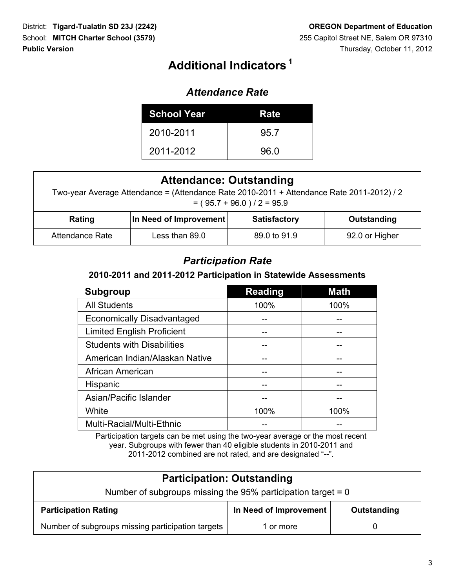# **<sup>1</sup> Additional Indicators**

#### *Attendance Rate*

| <b>School Year</b> | Rate |
|--------------------|------|
| 2010-2011          | 95.7 |
| 2011-2012          | 96.0 |

| <b>Attendance: Outstanding</b><br>Two-year Average Attendance = (Attendance Rate 2010-2011 + Attendance Rate 2011-2012) / 2<br>$= (95.7 + 96.0)/2 = 95.9$ |                        |                     |                |  |  |  |  |
|-----------------------------------------------------------------------------------------------------------------------------------------------------------|------------------------|---------------------|----------------|--|--|--|--|
| Rating                                                                                                                                                    | In Need of Improvement | <b>Satisfactory</b> | Outstanding    |  |  |  |  |
| Attendance Rate                                                                                                                                           | Less than 89.0         | 89.0 to 91.9        | 92.0 or Higher |  |  |  |  |

#### *Participation Rate*

#### **2010-2011 and 2011-2012 Participation in Statewide Assessments**

| <b>Subgroup</b>                   | <b>Reading</b> | <b>Math</b> |
|-----------------------------------|----------------|-------------|
| <b>All Students</b>               | 100%           | 100%        |
| <b>Economically Disadvantaged</b> |                |             |
| <b>Limited English Proficient</b> |                |             |
| <b>Students with Disabilities</b> |                |             |
| American Indian/Alaskan Native    |                |             |
| African American                  |                |             |
| Hispanic                          |                |             |
| Asian/Pacific Islander            |                |             |
| White                             | 100%           | 100%        |
| Multi-Racial/Multi-Ethnic         |                |             |

Participation targets can be met using the two-year average or the most recent year. Subgroups with fewer than 40 eligible students in 2010-2011 and 2011-2012 combined are not rated, and are designated "--".

| <b>Participation: Outstanding</b>                              |                        |             |  |  |  |  |
|----------------------------------------------------------------|------------------------|-------------|--|--|--|--|
| Number of subgroups missing the 95% participation target = $0$ |                        |             |  |  |  |  |
| <b>Participation Rating</b>                                    | In Need of Improvement | Outstanding |  |  |  |  |
| Number of subgroups missing participation targets              | 1 or more              |             |  |  |  |  |